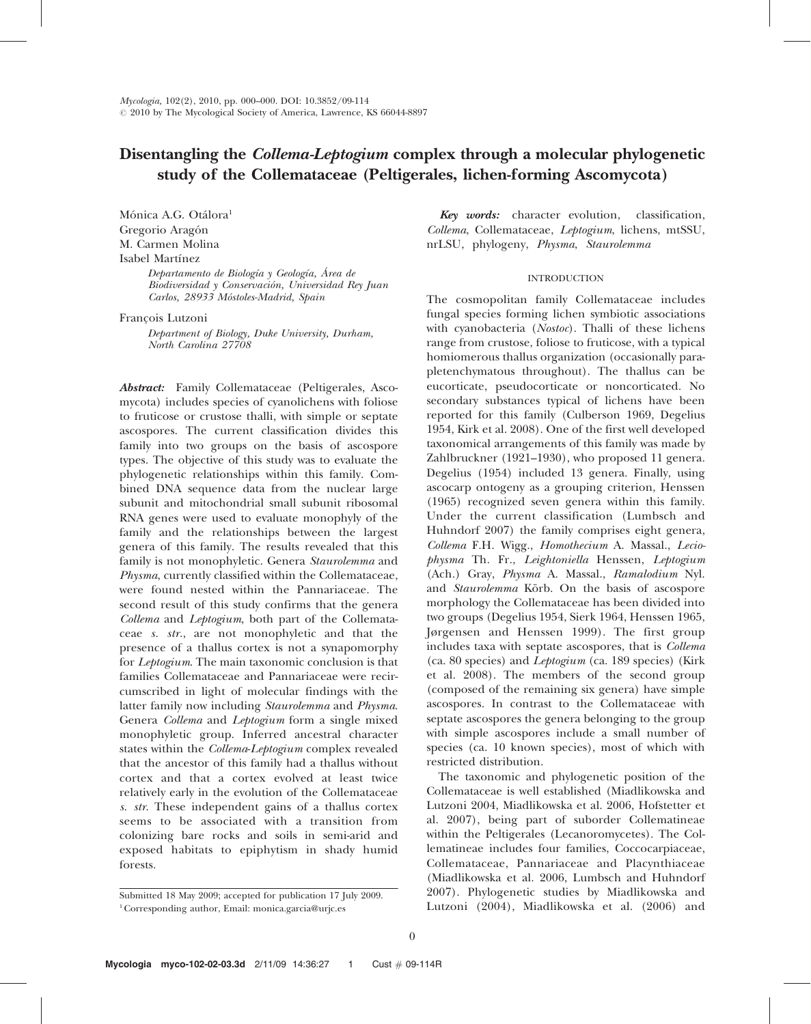# Disentangling the *Collema-Leptogium* complex through a molecular phylogenetic study of the Collemataceae (Peltigerales, lichen-forming Ascomycota)

Mónica A.G. Otálora<sup>1</sup> Gregorio Aragón M. Carmen Molina Isabel Martínez

> Departamento de Biología y Geología, Área de Biodiversidad y Conservación, Universidad Rey Juan Carlos, 28933 Móstoles-Madrid, Spain

François Lutzoni

Department of Biology, Duke University, Durham, North Carolina 27708

Abstract: Family Collemataceae (Peltigerales, Ascomycota) includes species of cyanolichens with foliose to fruticose or crustose thalli, with simple or septate ascospores. The current classification divides this family into two groups on the basis of ascospore types. The objective of this study was to evaluate the phylogenetic relationships within this family. Combined DNA sequence data from the nuclear large subunit and mitochondrial small subunit ribosomal RNA genes were used to evaluate monophyly of the family and the relationships between the largest genera of this family. The results revealed that this family is not monophyletic. Genera Staurolemma and Physma, currently classified within the Collemataceae, were found nested within the Pannariaceae. The second result of this study confirms that the genera Collema and Leptogium, both part of the Collemataceae s. str., are not monophyletic and that the presence of a thallus cortex is not a synapomorphy for Leptogium. The main taxonomic conclusion is that families Collemataceae and Pannariaceae were recircumscribed in light of molecular findings with the latter family now including Staurolemma and Physma. Genera Collema and Leptogium form a single mixed monophyletic group. Inferred ancestral character states within the Collema-Leptogium complex revealed that the ancestor of this family had a thallus without cortex and that a cortex evolved at least twice relatively early in the evolution of the Collemataceae s. str. These independent gains of a thallus cortex seems to be associated with a transition from colonizing bare rocks and soils in semi-arid and exposed habitats to epiphytism in shady humid forests.

Submitted 18 May 2009; accepted for publication 17 July 2009. 1Corresponding author, Email: monica.garcia@urjc.es

Key words: character evolution, classification, Collema, Collemataceae, Leptogium, lichens, mtSSU, nrLSU, phylogeny, Physma, Staurolemma

## INTRODUCTION

The cosmopolitan family Collemataceae includes fungal species forming lichen symbiotic associations with cyanobacteria (Nostoc). Thalli of these lichens range from crustose, foliose to fruticose, with a typical homiomerous thallus organization (occasionally parapletenchymatous throughout). The thallus can be eucorticate, pseudocorticate or noncorticated. No secondary substances typical of lichens have been reported for this family (Culberson 1969, Degelius 1954, Kirk et al. 2008). One of the first well developed taxonomical arrangements of this family was made by Zahlbruckner (1921–1930), who proposed 11 genera. Degelius (1954) included 13 genera. Finally, using ascocarp ontogeny as a grouping criterion, Henssen (1965) recognized seven genera within this family. Under the current classification (Lumbsch and Huhndorf 2007) the family comprises eight genera, Collema F.H. Wigg., Homothecium A. Massal., Leciophysma Th. Fr., Leightoniella Henssen, Leptogium (Ach.) Gray, Physma A. Massal., Ramalodium Nyl. and Staurolemma Körb. On the basis of ascospore morphology the Collemataceae has been divided into two groups (Degelius 1954, Sierk 1964, Henssen 1965, Jørgensen and Henssen 1999). The first group includes taxa with septate ascospores, that is Collema (ca. 80 species) and Leptogium (ca. 189 species) (Kirk et al. 2008). The members of the second group (composed of the remaining six genera) have simple ascospores. In contrast to the Collemataceae with septate ascospores the genera belonging to the group with simple ascospores include a small number of species (ca. 10 known species), most of which with restricted distribution.

The taxonomic and phylogenetic position of the Collemataceae is well established (Miadlikowska and Lutzoni 2004, Miadlikowska et al. 2006, Hofstetter et al. 2007), being part of suborder Collematineae within the Peltigerales (Lecanoromycetes). The Collematineae includes four families, Coccocarpiaceae, Collemataceae, Pannariaceae and Placynthiaceae (Miadlikowska et al. 2006, Lumbsch and Huhndorf 2007). Phylogenetic studies by Miadlikowska and Lutzoni (2004), Miadlikowska et al. (2006) and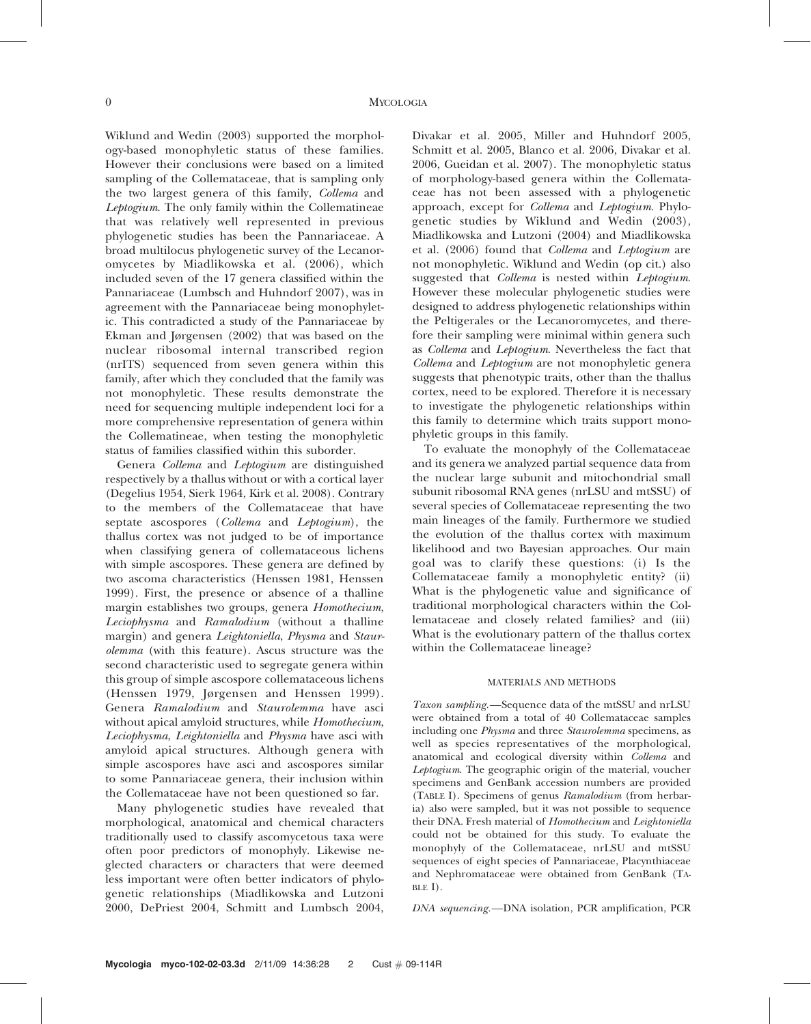Wiklund and Wedin (2003) supported the morphology-based monophyletic status of these families. However their conclusions were based on a limited sampling of the Collemataceae, that is sampling only the two largest genera of this family, Collema and Leptogium. The only family within the Collematineae that was relatively well represented in previous phylogenetic studies has been the Pannariaceae. A broad multilocus phylogenetic survey of the Lecanoromycetes by Miadlikowska et al. (2006), which included seven of the 17 genera classified within the Pannariaceae (Lumbsch and Huhndorf 2007), was in agreement with the Pannariaceae being monophyletic. This contradicted a study of the Pannariaceae by Ekman and Jørgensen (2002) that was based on the nuclear ribosomal internal transcribed region (nrITS) sequenced from seven genera within this family, after which they concluded that the family was not monophyletic. These results demonstrate the need for sequencing multiple independent loci for a more comprehensive representation of genera within the Collematineae, when testing the monophyletic status of families classified within this suborder.

Genera Collema and Leptogium are distinguished respectively by a thallus without or with a cortical layer (Degelius 1954, Sierk 1964, Kirk et al. 2008). Contrary to the members of the Collemataceae that have septate ascospores (Collema and Leptogium), the thallus cortex was not judged to be of importance when classifying genera of collemataceous lichens with simple ascospores. These genera are defined by two ascoma characteristics (Henssen 1981, Henssen 1999). First, the presence or absence of a thalline margin establishes two groups, genera Homothecium, Leciophysma and Ramalodium (without a thalline margin) and genera Leightoniella, Physma and Staurolemma (with this feature). Ascus structure was the second characteristic used to segregate genera within this group of simple ascospore collemataceous lichens (Henssen 1979, Jørgensen and Henssen 1999). Genera Ramalodium and Staurolemma have asci without apical amyloid structures, while Homothecium, Leciophysma, Leightoniella and Physma have asci with amyloid apical structures. Although genera with simple ascospores have asci and ascospores similar to some Pannariaceae genera, their inclusion within the Collemataceae have not been questioned so far.

Many phylogenetic studies have revealed that morphological, anatomical and chemical characters traditionally used to classify ascomycetous taxa were often poor predictors of monophyly. Likewise neglected characters or characters that were deemed less important were often better indicators of phylogenetic relationships (Miadlikowska and Lutzoni 2000, DePriest 2004, Schmitt and Lumbsch 2004,

Divakar et al. 2005, Miller and Huhndorf 2005, Schmitt et al. 2005, Blanco et al. 2006, Divakar et al. 2006, Gueidan et al. 2007). The monophyletic status of morphology-based genera within the Collemataceae has not been assessed with a phylogenetic approach, except for Collema and Leptogium. Phylogenetic studies by Wiklund and Wedin (2003), Miadlikowska and Lutzoni (2004) and Miadlikowska et al. (2006) found that Collema and Leptogium are not monophyletic. Wiklund and Wedin (op cit.) also suggested that *Collema* is nested within *Leptogium*. However these molecular phylogenetic studies were designed to address phylogenetic relationships within the Peltigerales or the Lecanoromycetes, and therefore their sampling were minimal within genera such as Collema and Leptogium. Nevertheless the fact that Collema and Leptogium are not monophyletic genera suggests that phenotypic traits, other than the thallus cortex, need to be explored. Therefore it is necessary to investigate the phylogenetic relationships within this family to determine which traits support monophyletic groups in this family.

To evaluate the monophyly of the Collemataceae and its genera we analyzed partial sequence data from the nuclear large subunit and mitochondrial small subunit ribosomal RNA genes (nrLSU and mtSSU) of several species of Collemataceae representing the two main lineages of the family. Furthermore we studied the evolution of the thallus cortex with maximum likelihood and two Bayesian approaches. Our main goal was to clarify these questions: (i) Is the Collemataceae family a monophyletic entity? (ii) What is the phylogenetic value and significance of traditional morphological characters within the Collemataceae and closely related families? and (iii) What is the evolutionary pattern of the thallus cortex within the Collemataceae lineage?

#### MATERIALS AND METHODS

Taxon sampling.—Sequence data of the mtSSU and nrLSU were obtained from a total of 40 Collemataceae samples including one Physma and three Staurolemma specimens, as well as species representatives of the morphological, anatomical and ecological diversity within Collema and Leptogium. The geographic origin of the material, voucher specimens and GenBank accession numbers are provided (TABLE I). Specimens of genus Ramalodium (from herbaria) also were sampled, but it was not possible to sequence their DNA. Fresh material of Homothecium and Leightoniella could not be obtained for this study. To evaluate the monophyly of the Collemataceae, nrLSU and mtSSU sequences of eight species of Pannariaceae, Placynthiaceae and Nephromataceae were obtained from GenBank (TA-BLE  $I$ ).

DNA sequencing.—DNA isolation, PCR amplification, PCR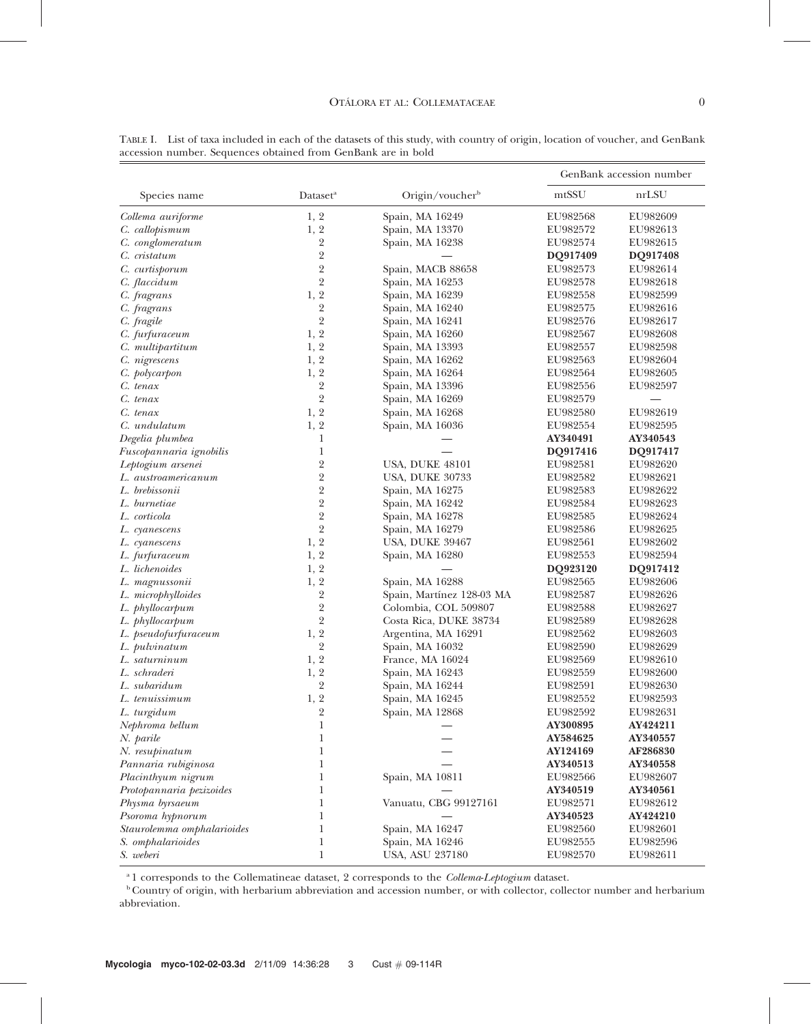|                                             |                      |                             | GenBank accession number |                      |  |
|---------------------------------------------|----------------------|-----------------------------|--------------------------|----------------------|--|
| Species name                                | Dataset <sup>a</sup> | Origin/voucher <sup>b</sup> | mtSSU                    | nrLSU                |  |
| Collema auriforme                           | 1, 2                 | Spain, MA 16249             | EU982568                 | EU982609             |  |
| C. callopismum                              | 1, 2                 | Spain, MA 13370             | EU982572                 | EU982613             |  |
| C. conglomeratum                            | $\sqrt{2}$           | Spain, MA 16238             | EU982574                 | EU982615             |  |
| C. cristatum                                | $\overline{2}$       |                             | DQ917409                 | DQ917408             |  |
| C. curtisporum                              | $\overline{2}$       | Spain, MACB 88658           | EU982573                 | EU982614             |  |
| C. flaccidum                                | $\overline{2}$       | Spain, MA 16253             | EU982578                 | EU982618             |  |
| C. fragrans                                 | 1, 2                 | Spain, MA 16239             | EU982558                 | EU982599             |  |
| C. fragrans                                 | $\overline{2}$       | Spain, MA 16240             | EU982575                 | EU982616             |  |
| C. fragile                                  | $\overline{2}$       | Spain, MA 16241             | EU982576                 | EU982617             |  |
| C. furfuraceum                              | 1, 2                 | Spain, MA 16260             | EU982567                 | EU982608             |  |
| C. multipartitum                            | 1, 2                 | Spain, MA 13393             | EU982557                 | EU982598             |  |
| C. nigrescens                               | 1, 2                 | Spain, MA 16262             | EU982563                 | EU982604             |  |
| C. polycarpon                               | 1, 2                 | Spain, MA 16264             | EU982564                 | EU982605             |  |
| C. tenax                                    | $\overline{2}$       | Spain, MA 13396             | EU982556                 | EU982597             |  |
| $C.$ tenax                                  | $\overline{2}$       | Spain, MA 16269             | EU982579                 |                      |  |
| $C.$ tenax                                  | 1, 2                 | Spain, MA 16268             | EU982580                 | EU982619             |  |
| C. undulatum                                | 1, 2                 | Spain, MA 16036             | EU982554                 | EU982595             |  |
| Degelia plumbea                             | 1                    |                             | AY340491                 | AY340543             |  |
| Fuscopannaria ignobilis                     | 1                    |                             | DQ917416                 | DQ917417             |  |
| Leptogium arsenei                           | $\overline{2}$       | <b>USA, DUKE 48101</b>      | EU982581                 | EU982620             |  |
| L. austroamericanum                         | $\overline{2}$       | <b>USA, DUKE 30733</b>      | EU982582                 | EU982621             |  |
| L. brebissonii                              | $\overline{2}$       | Spain, MA 16275             | EU982583                 | EU982622             |  |
| L. burnetiae                                | $\overline{2}$       | Spain, MA 16242             | EU982584                 | EU982623             |  |
| L. corticola                                | $\overline{2}$       | Spain, MA 16278             | EU982585                 | EU982624             |  |
| L. cyanescens                               | $\overline{2}$       | Spain, MA 16279             | EU982586                 | EU982625             |  |
| L. cyanescens                               | 1, 2                 | <b>USA, DUKE 39467</b>      | EU982561                 | EU982602             |  |
| L. furfuraceum                              | 1, 2                 | Spain, MA 16280             | EU982553                 | EU982594             |  |
| L. lichenoides                              | 1, 2                 |                             | DQ923120                 | DQ917412             |  |
| L. magnussonii                              | 1, 2                 | Spain, MA 16288             | EU982565                 | EU982606             |  |
| L. microphylloides                          | $\overline{2}$       | Spain, Martínez 128-03 MA   | EU982587                 | EU982626             |  |
| L. phyllocarpum                             | $\overline{2}$       | Colombia, COL 509807        | EU982588                 | EU982627             |  |
| L. phyllocarpum                             | $\overline{2}$       | Costa Rica, DUKE 38734      | EU982589                 | EU982628             |  |
| L. pseudofurfuraceum                        | 1, 2                 | Argentina, MA 16291         | EU982562                 | EU982603             |  |
| L. pulvinatum                               | $\overline{2}$       | Spain, MA 16032             | EU982590                 | EU982629             |  |
| L. saturninum                               | 1, 2                 | France, MA 16024            | EU982569                 | EU982610             |  |
| L. schraderi                                | 1, 2                 | Spain, MA 16243             | EU982559                 | EU982600             |  |
| L. subaridum                                | $\overline{2}$       | Spain, MA 16244             | EU982591                 | EU982630             |  |
| L. tenuissimum                              | 1, 2                 | Spain, MA 16245             | EU982552                 | EU982593             |  |
| L. turgidum                                 | $\overline{2}$       | Spain, MA 12868             | EU982592                 | EU982631             |  |
| Nephroma bellum                             | 1                    |                             | AY300895                 | AY424211             |  |
| N. parile                                   | 1                    |                             | AY584625                 | AY340557             |  |
| N. resupinatum                              | 1                    |                             | AY124169                 | AF286830             |  |
| Pannaria rubiginosa                         | 1                    |                             | AY340513                 | AY340558             |  |
| Placinthyum nigrum                          | 1                    | Spain, MA 10811             | EU982566                 | EU982607             |  |
|                                             | 1                    |                             |                          |                      |  |
| Protopannaria pezizoides<br>Physma byrsaeum | 1                    | Vanuatu, CBG 99127161       | AY340519<br>EU982571     | AY340561             |  |
| Psoroma hypnorum                            | 1                    |                             | AY340523                 | EU982612<br>AY424210 |  |
|                                             | 1                    |                             |                          | EU982601             |  |
| Staurolemma omphalarioides                  | 1                    | Spain, MA 16247             | EU982560<br>EU982555     |                      |  |
| S. omphalarioides                           | 1                    | Spain, MA 16246             | EU982570                 | EU982596             |  |
| S. weberi                                   |                      | USA, ASU 237180             |                          | EU982611             |  |

TABLE I. List of taxa included in each of the datasets of this study, with country of origin, location of voucher, and GenBank accession number. Sequences obtained from GenBank are in bold

<sup>a</sup> 1 corresponds to the Collematineae dataset, 2 corresponds to the *Collema-Leptogium* dataset.

<sup>b</sup>Country of origin, with herbarium abbreviation and accession number, or with collector, collector number and herbarium abbreviation.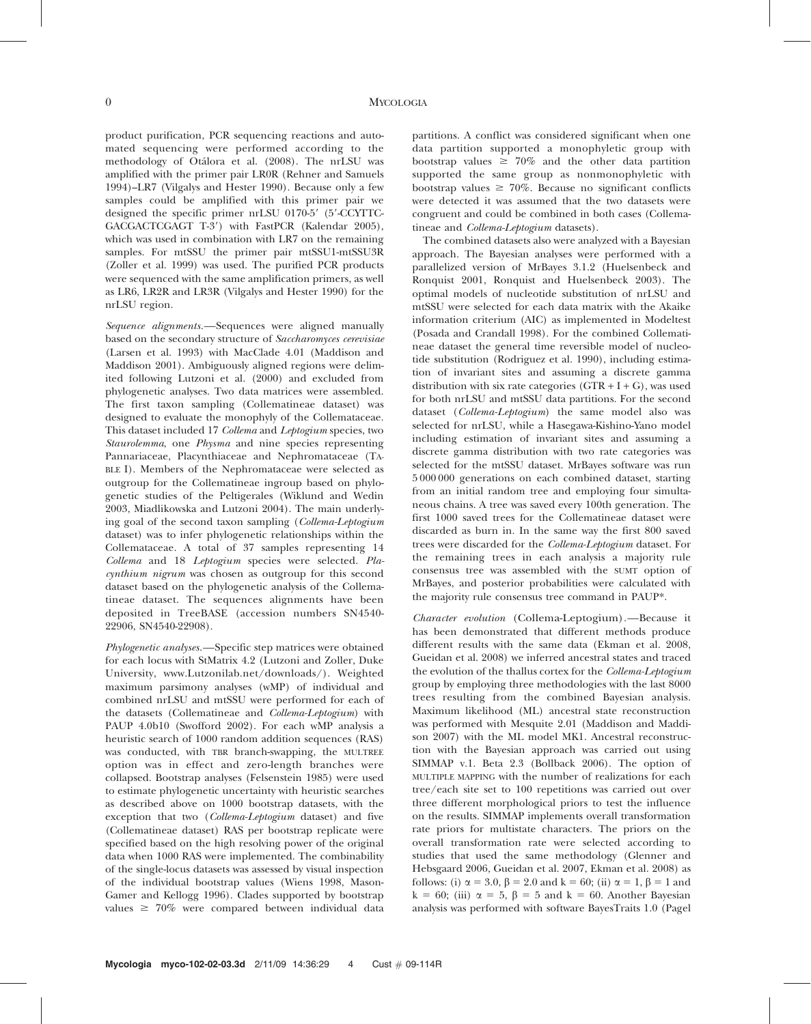product purification, PCR sequencing reactions and automated sequencing were performed according to the methodology of Otálora et al. (2008). The nrLSU was amplified with the primer pair LR0R (Rehner and Samuels 1994)–LR7 (Vilgalys and Hester 1990). Because only a few samples could be amplified with this primer pair we designed the specific primer  $nrLSU$  0170-5' (5'-CCYTTC-GACGACTCGAGT T-3') with FastPCR (Kalendar 2005), which was used in combination with LR7 on the remaining samples. For mtSSU the primer pair mtSSU1-mtSSU3R (Zoller et al. 1999) was used. The purified PCR products were sequenced with the same amplification primers, as well as LR6, LR2R and LR3R (Vilgalys and Hester 1990) for the nrLSU region.

Sequence alignments.—Sequences were aligned manually based on the secondary structure of Saccharomyces cerevisiae (Larsen et al. 1993) with MacClade 4.01 (Maddison and Maddison 2001). Ambiguously aligned regions were delimited following Lutzoni et al. (2000) and excluded from phylogenetic analyses. Two data matrices were assembled. The first taxon sampling (Collematineae dataset) was designed to evaluate the monophyly of the Collemataceae. This dataset included 17 Collema and Leptogium species, two Staurolemma, one Physma and nine species representing Pannariaceae, Placynthiaceae and Nephromataceae (TA-BLE I). Members of the Nephromataceae were selected as outgroup for the Collematineae ingroup based on phylogenetic studies of the Peltigerales (Wiklund and Wedin 2003, Miadlikowska and Lutzoni 2004). The main underlying goal of the second taxon sampling (Collema-Leptogium dataset) was to infer phylogenetic relationships within the Collemataceae. A total of 37 samples representing 14 Collema and 18 Leptogium species were selected. Placynthium nigrum was chosen as outgroup for this second dataset based on the phylogenetic analysis of the Collematineae dataset. The sequences alignments have been deposited in TreeBASE (accession numbers SN4540- 22906, SN4540-22908).

Phylogenetic analyses.—Specific step matrices were obtained for each locus with StMatrix 4.2 (Lutzoni and Zoller, Duke University, www.Lutzonilab.net/downloads/). Weighted maximum parsimony analyses (wMP) of individual and combined nrLSU and mtSSU were performed for each of the datasets (Collematineae and Collema-Leptogium) with PAUP 4.0b10 (Swofford 2002). For each wMP analysis a heuristic search of 1000 random addition sequences (RAS) was conducted, with TBR branch-swapping, the MULTREE option was in effect and zero-length branches were collapsed. Bootstrap analyses (Felsenstein 1985) were used to estimate phylogenetic uncertainty with heuristic searches as described above on 1000 bootstrap datasets, with the exception that two (Collema-Leptogium dataset) and five (Collematineae dataset) RAS per bootstrap replicate were specified based on the high resolving power of the original data when 1000 RAS were implemented. The combinability of the single-locus datasets was assessed by visual inspection of the individual bootstrap values (Wiens 1998, Mason-Gamer and Kellogg 1996). Clades supported by bootstrap values  $\geq 70\%$  were compared between individual data

partitions. A conflict was considered significant when one data partition supported a monophyletic group with bootstrap values  $\geq 70\%$  and the other data partition supported the same group as nonmonophyletic with bootstrap values  $\geq 70\%$ . Because no significant conflicts were detected it was assumed that the two datasets were congruent and could be combined in both cases (Collematineae and Collema-Leptogium datasets).

The combined datasets also were analyzed with a Bayesian approach. The Bayesian analyses were performed with a parallelized version of MrBayes 3.1.2 (Huelsenbeck and Ronquist 2001, Ronquist and Huelsenbeck 2003). The optimal models of nucleotide substitution of nrLSU and mtSSU were selected for each data matrix with the Akaike information criterium (AIC) as implemented in Modeltest (Posada and Crandall 1998). For the combined Collematineae dataset the general time reversible model of nucleotide substitution (Rodriguez et al. 1990), including estimation of invariant sites and assuming a discrete gamma distribution with six rate categories  $(GTR + I + G)$ , was used for both nrLSU and mtSSU data partitions. For the second dataset (Collema-Leptogium) the same model also was selected for nrLSU, while a Hasegawa-Kishino-Yano model including estimation of invariant sites and assuming a discrete gamma distribution with two rate categories was selected for the mtSSU dataset. MrBayes software was run 5 000 000 generations on each combined dataset, starting from an initial random tree and employing four simultaneous chains. A tree was saved every 100th generation. The first 1000 saved trees for the Collematineae dataset were discarded as burn in. In the same way the first 800 saved trees were discarded for the Collema-Leptogium dataset. For the remaining trees in each analysis a majority rule consensus tree was assembled with the SUMT option of MrBayes, and posterior probabilities were calculated with the majority rule consensus tree command in PAUP\*.

Character evolution (Collema-Leptogium).—Because it has been demonstrated that different methods produce different results with the same data (Ekman et al. 2008, Gueidan et al. 2008) we inferred ancestral states and traced the evolution of the thallus cortex for the Collema-Leptogium group by employing three methodologies with the last 8000 trees resulting from the combined Bayesian analysis. Maximum likelihood (ML) ancestral state reconstruction was performed with Mesquite 2.01 (Maddison and Maddison 2007) with the ML model MK1. Ancestral reconstruction with the Bayesian approach was carried out using SIMMAP v.1. Beta 2.3 (Bollback 2006). The option of MULTIPLE MAPPING with the number of realizations for each tree/each site set to 100 repetitions was carried out over three different morphological priors to test the influence on the results. SIMMAP implements overall transformation rate priors for multistate characters. The priors on the overall transformation rate were selected according to studies that used the same methodology (Glenner and Hebsgaard 2006, Gueidan et al. 2007, Ekman et al. 2008) as follows: (i)  $\alpha = 3.0$ ,  $\beta = 2.0$  and  $k = 60$ ; (ii)  $\alpha = 1$ ,  $\beta = 1$  and k = 60; (iii)  $\alpha$  = 5,  $\beta$  = 5 and k = 60. Another Bayesian analysis was performed with software BayesTraits 1.0 (Pagel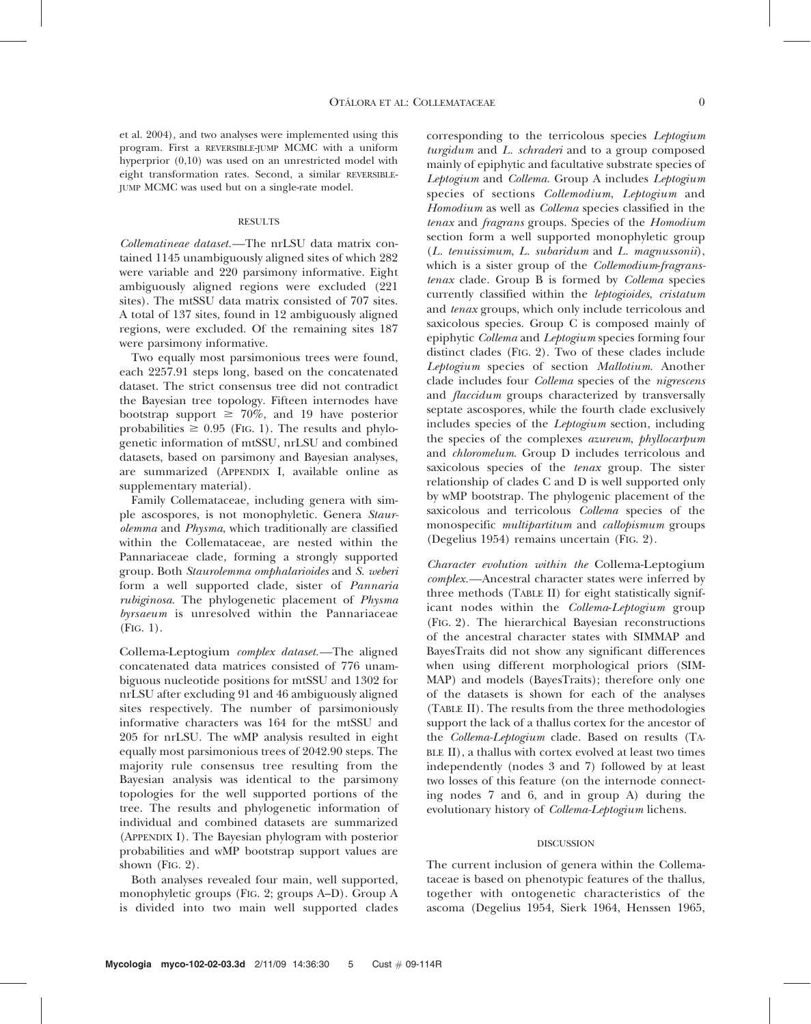et al. 2004), and two analyses were implemented using this program. First a REVERSIBLE-JUMP MCMC with a uniform hyperprior (0,10) was used on an unrestricted model with eight transformation rates. Second, a similar REVERSIBLE-JUMP MCMC was used but on a single-rate model.

### **RESULTS**

Collematineae dataset.—The nrLSU data matrix contained 1145 unambiguously aligned sites of which 282 were variable and 220 parsimony informative. Eight ambiguously aligned regions were excluded (221 sites). The mtSSU data matrix consisted of 707 sites. A total of 137 sites, found in 12 ambiguously aligned regions, were excluded. Of the remaining sites 187 were parsimony informative.

Two equally most parsimonious trees were found, each 2257.91 steps long, based on the concatenated dataset. The strict consensus tree did not contradict the Bayesian tree topology. Fifteen internodes have bootstrap support  $\geq 70\%$ , and 19 have posterior probabilities  $\geq 0.95$  (FIG. 1). The results and phylogenetic information of mtSSU, nrLSU and combined datasets, based on parsimony and Bayesian analyses, are summarized (APPENDIX I, available online as supplementary material).

Family Collemataceae, including genera with simple ascospores, is not monophyletic. Genera Staurolemma and Physma, which traditionally are classified within the Collemataceae, are nested within the Pannariaceae clade, forming a strongly supported group. Both Staurolemma omphalarioides and S. weberi form a well supported clade, sister of Pannaria rubiginosa. The phylogenetic placement of Physma byrsaeum is unresolved within the Pannariaceae (FIG. 1).

Collema-Leptogium complex dataset.—The aligned concatenated data matrices consisted of 776 unambiguous nucleotide positions for mtSSU and 1302 for nrLSU after excluding 91 and 46 ambiguously aligned sites respectively. The number of parsimoniously informative characters was 164 for the mtSSU and 205 for nrLSU. The wMP analysis resulted in eight equally most parsimonious trees of 2042.90 steps. The majority rule consensus tree resulting from the Bayesian analysis was identical to the parsimony topologies for the well supported portions of the tree. The results and phylogenetic information of individual and combined datasets are summarized (APPENDIX I). The Bayesian phylogram with posterior probabilities and wMP bootstrap support values are shown (FIG. 2).

Both analyses revealed four main, well supported, monophyletic groups (FIG. 2; groups A–D). Group A is divided into two main well supported clades

corresponding to the terricolous species Leptogium turgidum and L. schraderi and to a group composed mainly of epiphytic and facultative substrate species of Leptogium and Collema. Group A includes Leptogium species of sections Collemodium, Leptogium and Homodium as well as Collema species classified in the tenax and fragrans groups. Species of the Homodium section form a well supported monophyletic group (L. tenuissimum, L. subaridum and L. magnussonii), which is a sister group of the *Collemodium-fragrans*tenax clade. Group B is formed by Collema species currently classified within the leptogioides, cristatum and tenax groups, which only include terricolous and saxicolous species. Group C is composed mainly of epiphytic Collema and Leptogium species forming four distinct clades (FIG. 2). Two of these clades include Leptogium species of section Mallotium. Another clade includes four Collema species of the nigrescens and flaccidum groups characterized by transversally septate ascospores, while the fourth clade exclusively includes species of the Leptogium section, including the species of the complexes azureum, phyllocarpum and chloromelum. Group D includes terricolous and saxicolous species of the tenax group. The sister relationship of clades C and D is well supported only by wMP bootstrap. The phylogenic placement of the saxicolous and terricolous Collema species of the monospecific *multipartitum* and *callopismum* groups (Degelius 1954) remains uncertain (FIG. 2).

Character evolution within the Collema-Leptogium complex.—Ancestral character states were inferred by three methods (TABLE II) for eight statistically significant nodes within the Collema-Leptogium group (FIG. 2). The hierarchical Bayesian reconstructions of the ancestral character states with SIMMAP and BayesTraits did not show any significant differences when using different morphological priors (SIM-MAP) and models (BayesTraits); therefore only one of the datasets is shown for each of the analyses (TABLE II). The results from the three methodologies support the lack of a thallus cortex for the ancestor of the Collema-Leptogium clade. Based on results (TA-BLE II), a thallus with cortex evolved at least two times independently (nodes 3 and 7) followed by at least two losses of this feature (on the internode connecting nodes 7 and 6, and in group A) during the evolutionary history of Collema-Leptogium lichens.

## DISCUSSION

The current inclusion of genera within the Collemataceae is based on phenotypic features of the thallus, together with ontogenetic characteristics of the ascoma (Degelius 1954, Sierk 1964, Henssen 1965,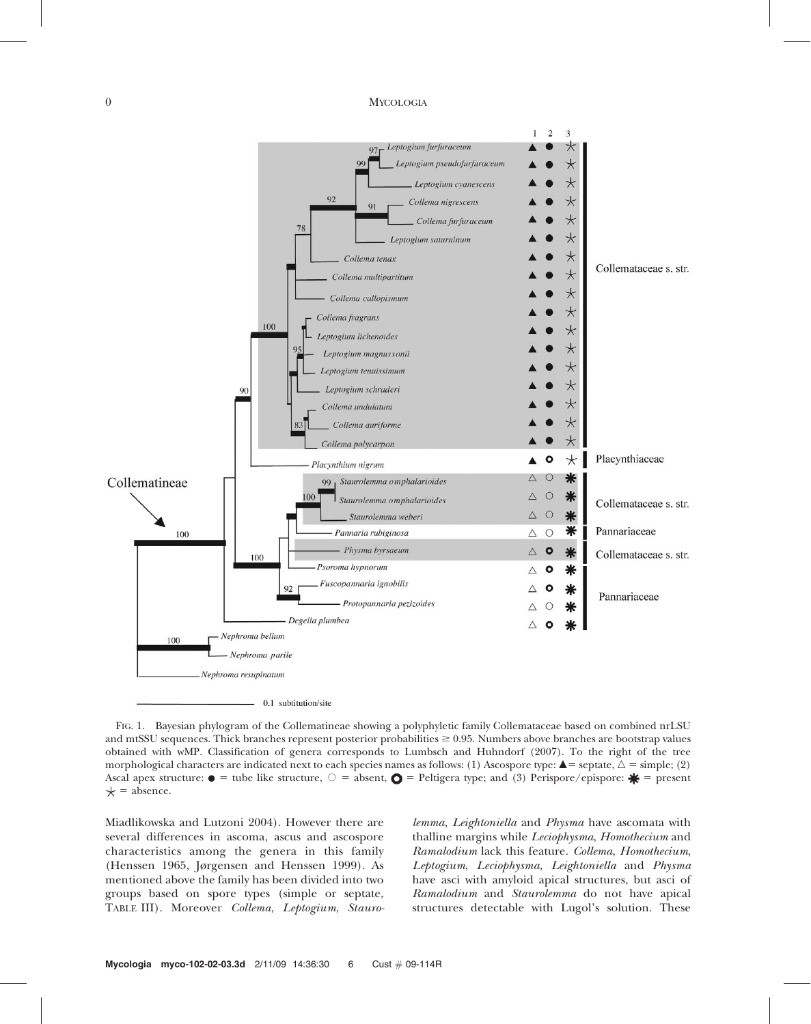## 0 MYCOLOGIA



 $-$  0.1 subtitution/site

FIG. 1. Bayesian phylogram of the Collematineae showing a polyphyletic family Collemataceae based on combined nrLSU and mtSSU sequences. Thick branches represent posterior probabilities  $\geq 0.95$ . Numbers above branches are bootstrap values obtained with wMP. Classification of genera corresponds to Lumbsch and Huhndorf (2007). To the right of the tree morphological characters are indicated next to each species names as follows: (1) Ascospore type:  $\blacktriangle =$  septate,  $\triangle =$  simple; (2) Ascal apex structure:  $\bullet$  = tube like structure,  $\circ$  = absent,  $\bullet$  = Peltigera type; and (3) Perispore/epispore:  $\mathcal{H}$  = present  $\star$  = absence.

Miadlikowska and Lutzoni 2004). However there are several differences in ascoma, ascus and ascospore characteristics among the genera in this family (Henssen 1965, Jørgensen and Henssen 1999). As mentioned above the family has been divided into two groups based on spore types (simple or septate, TABLE III). Moreover Collema, Leptogium, Stauro-

lemma, Leightoniella and Physma have ascomata with thalline margins while Leciophysma, Homothecium and Ramalodium lack this feature. Collema, Homothecium, Leptogium, Leciophysma, Leightoniella and Physma have asci with amyloid apical structures, but asci of Ramalodium and Staurolemma do not have apical structures detectable with Lugol's solution. These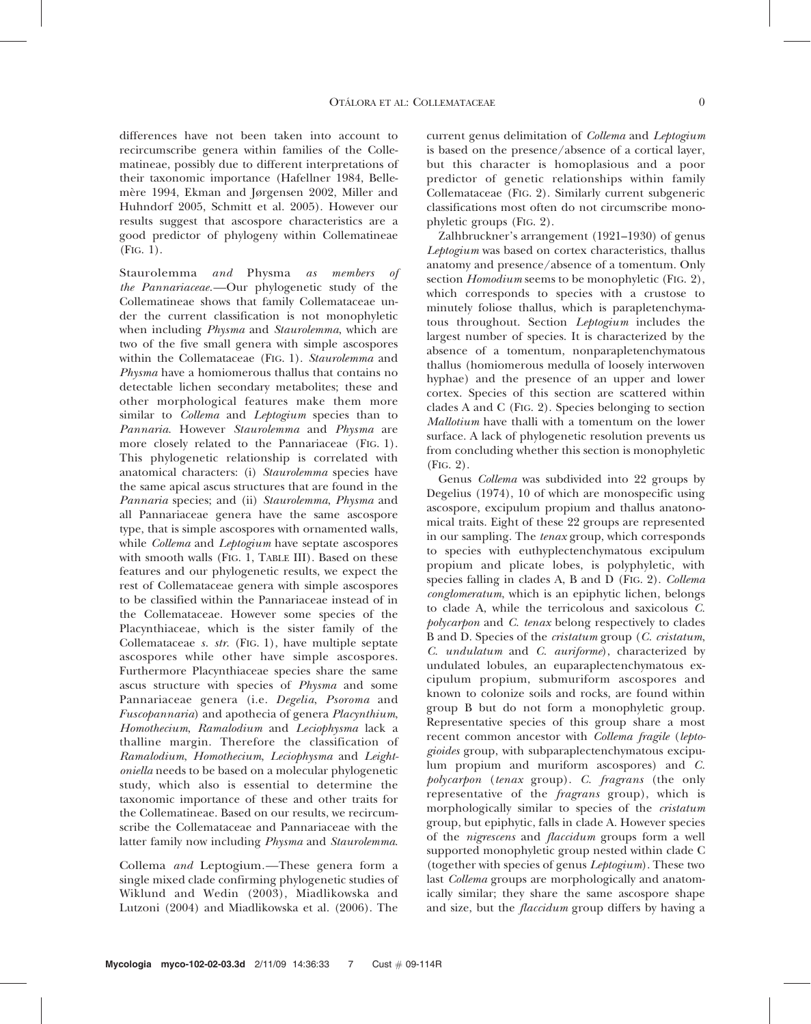differences have not been taken into account to recircumscribe genera within families of the Collematineae, possibly due to different interpretations of their taxonomic importance (Hafellner 1984, Bellemère 1994, Ekman and Jørgensen 2002, Miller and Huhndorf 2005, Schmitt et al. 2005). However our results suggest that ascospore characteristics are a good predictor of phylogeny within Collematineae (FIG. 1).

Staurolemma and Physma as members of the Pannariaceae.—Our phylogenetic study of the Collematineae shows that family Collemataceae under the current classification is not monophyletic when including Physma and Staurolemma, which are two of the five small genera with simple ascospores within the Collemataceae (FIG. 1). Staurolemma and Physma have a homiomerous thallus that contains no detectable lichen secondary metabolites; these and other morphological features make them more similar to *Collema* and *Leptogium* species than to Pannaria. However Staurolemma and Physma are more closely related to the Pannariaceae (FIG. 1). This phylogenetic relationship is correlated with anatomical characters: (i) Staurolemma species have the same apical ascus structures that are found in the Pannaria species; and (ii) Staurolemma, Physma and all Pannariaceae genera have the same ascospore type, that is simple ascospores with ornamented walls, while Collema and Leptogium have septate ascospores with smooth walls (FIG. 1, TABLE III). Based on these features and our phylogenetic results, we expect the rest of Collemataceae genera with simple ascospores to be classified within the Pannariaceae instead of in the Collemataceae. However some species of the Placynthiaceae, which is the sister family of the Collemataceae s. str. (FIG. 1), have multiple septate ascospores while other have simple ascospores. Furthermore Placynthiaceae species share the same ascus structure with species of Physma and some Pannariaceae genera (i.e. Degelia, Psoroma and Fuscopannaria) and apothecia of genera Placynthium, Homothecium, Ramalodium and Leciophysma lack a thalline margin. Therefore the classification of Ramalodium, Homothecium, Leciophysma and Leightoniella needs to be based on a molecular phylogenetic study, which also is essential to determine the taxonomic importance of these and other traits for the Collematineae. Based on our results, we recircumscribe the Collemataceae and Pannariaceae with the latter family now including Physma and Staurolemma.

Collema and Leptogium.—These genera form a single mixed clade confirming phylogenetic studies of Wiklund and Wedin (2003), Miadlikowska and Lutzoni (2004) and Miadlikowska et al. (2006). The

current genus delimitation of Collema and Leptogium is based on the presence/absence of a cortical layer, but this character is homoplasious and a poor predictor of genetic relationships within family Collemataceae (FIG. 2). Similarly current subgeneric classifications most often do not circumscribe monophyletic groups (FIG. 2).

Zalhbruckner's arrangement (1921–1930) of genus Leptogium was based on cortex characteristics, thallus anatomy and presence/absence of a tomentum. Only section *Homodium* seems to be monophyletic (FIG. 2), which corresponds to species with a crustose to minutely foliose thallus, which is parapletenchymatous throughout. Section Leptogium includes the largest number of species. It is characterized by the absence of a tomentum, nonparapletenchymatous thallus (homiomerous medulla of loosely interwoven hyphae) and the presence of an upper and lower cortex. Species of this section are scattered within clades A and C (FIG. 2). Species belonging to section Mallotium have thalli with a tomentum on the lower surface. A lack of phylogenetic resolution prevents us from concluding whether this section is monophyletic (FIG. 2).

Genus Collema was subdivided into 22 groups by Degelius (1974), 10 of which are monospecific using ascospore, excipulum propium and thallus anatonomical traits. Eight of these 22 groups are represented in our sampling. The tenax group, which corresponds to species with euthyplectenchymatous excipulum propium and plicate lobes, is polyphyletic, with species falling in clades A, B and D (FIG. 2). Collema conglomeratum, which is an epiphytic lichen, belongs to clade A, while the terricolous and saxicolous C. polycarpon and C. tenax belong respectively to clades B and D. Species of the cristatum group (C. cristatum, C. undulatum and C. auriforme), characterized by undulated lobules, an euparaplectenchymatous excipulum propium, submuriform ascospores and known to colonize soils and rocks, are found within group B but do not form a monophyletic group. Representative species of this group share a most recent common ancestor with Collema fragile (leptogioides group, with subparaplectenchymatous excipulum propium and muriform ascospores) and C. polycarpon (tenax group). C. fragrans (the only representative of the fragrans group), which is morphologically similar to species of the cristatum group, but epiphytic, falls in clade A. However species of the nigrescens and flaccidum groups form a well supported monophyletic group nested within clade C (together with species of genus Leptogium). These two last Collema groups are morphologically and anatomically similar; they share the same ascospore shape and size, but the *flaccidum* group differs by having a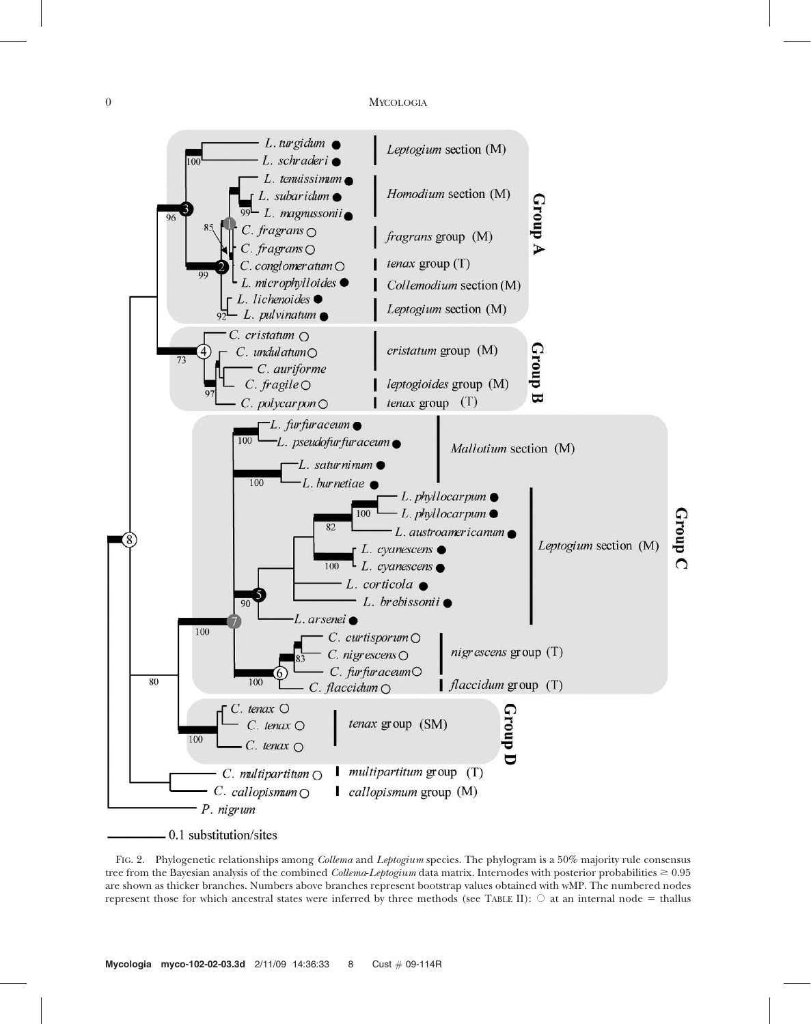# 0 MYCOLOGIA



0.1 substitution/sites

FIG. 2. Phylogenetic relationships among Collema and Leptogium species. The phylogram is a 50% majority rule consensus tree from the Bayesian analysis of the combined *Collema-Leptogium* data matrix. Internodes with posterior probabilities  $\geq 0.95$ are shown as thicker branches. Numbers above branches represent bootstrap values obtained with wMP. The numbered nodes represent those for which ancestral states were inferred by three methods (see TABLE II):  $\circ$  at an internal node = thallus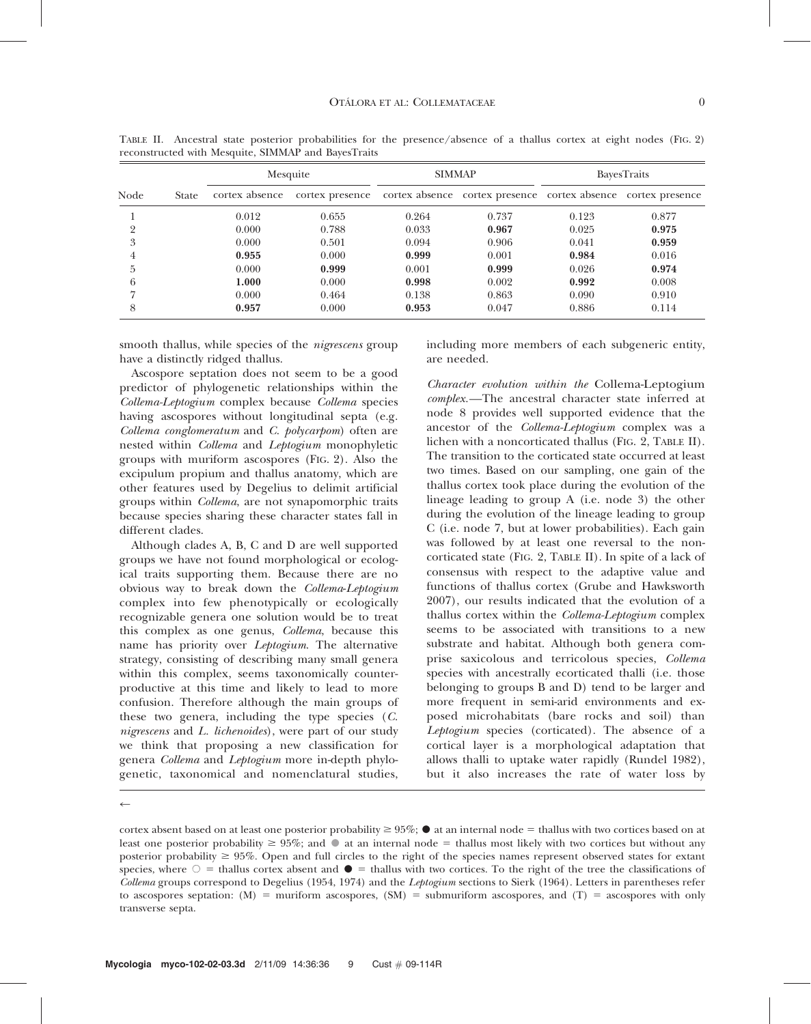|      |              |                | Mesquite        | <b>SIMMAP</b> |                                                               | <b>BayesTraits</b> |       |
|------|--------------|----------------|-----------------|---------------|---------------------------------------------------------------|--------------------|-------|
| Node | <b>State</b> | cortex absence | cortex presence |               | cortex absence cortex presence cortex absence cortex presence |                    |       |
|      |              | 0.012          | 0.655           | 0.264         | 0.737                                                         | 0.123              | 0.877 |
| 2    |              | 0.000          | 0.788           | 0.033         | 0.967                                                         | 0.025              | 0.975 |
| 3    |              | 0.000          | 0.501           | 0.094         | 0.906                                                         | 0.041              | 0.959 |
| 4    |              | 0.955          | 0.000           | 0.999         | 0.001                                                         | 0.984              | 0.016 |
| 5    |              | 0.000          | 0.999           | 0.001         | 0.999                                                         | 0.026              | 0.974 |
| 6    |              | 1.000          | 0.000           | 0.998         | 0.002                                                         | 0.992              | 0.008 |
|      |              | 0.000          | 0.464           | 0.138         | 0.863                                                         | 0.090              | 0.910 |
| 8    |              | 0.957          | 0.000           | 0.953         | 0.047                                                         | 0.886              | 0.114 |

TABLE II. Ancestral state posterior probabilities for the presence/absence of a thallus cortex at eight nodes (FIG. 2) reconstructed with Mesquite, SIMMAP and BayesTraits

smooth thallus, while species of the *nigrescens* group have a distinctly ridged thallus.

Ascospore septation does not seem to be a good predictor of phylogenetic relationships within the Collema-Leptogium complex because Collema species having ascospores without longitudinal septa (e.g. Collema conglomeratum and C. polycarpom) often are nested within Collema and Leptogium monophyletic groups with muriform ascospores (FIG. 2). Also the excipulum propium and thallus anatomy, which are other features used by Degelius to delimit artificial groups within Collema, are not synapomorphic traits because species sharing these character states fall in different clades.

Although clades A, B, C and D are well supported groups we have not found morphological or ecological traits supporting them. Because there are no obvious way to break down the Collema-Leptogium complex into few phenotypically or ecologically recognizable genera one solution would be to treat this complex as one genus, Collema, because this name has priority over Leptogium. The alternative strategy, consisting of describing many small genera within this complex, seems taxonomically counterproductive at this time and likely to lead to more confusion. Therefore although the main groups of these two genera, including the type species (C. nigrescens and L. lichenoides), were part of our study we think that proposing a new classification for genera Collema and Leptogium more in-depth phylogenetic, taxonomical and nomenclatural studies, including more members of each subgeneric entity, are needed.

Character evolution within the Collema-Leptogium complex.—The ancestral character state inferred at node 8 provides well supported evidence that the ancestor of the Collema-Leptogium complex was a lichen with a noncorticated thallus (FIG. 2, TABLE II). The transition to the corticated state occurred at least two times. Based on our sampling, one gain of the thallus cortex took place during the evolution of the lineage leading to group A (i.e. node 3) the other during the evolution of the lineage leading to group C (i.e. node 7, but at lower probabilities). Each gain was followed by at least one reversal to the noncorticated state (FIG. 2, TABLE II). In spite of a lack of consensus with respect to the adaptive value and functions of thallus cortex (Grube and Hawksworth 2007), our results indicated that the evolution of a thallus cortex within the Collema-Leptogium complex seems to be associated with transitions to a new substrate and habitat. Although both genera comprise saxicolous and terricolous species, Collema species with ancestrally ecorticated thalli (i.e. those belonging to groups B and D) tend to be larger and more frequent in semi-arid environments and exposed microhabitats (bare rocks and soil) than Leptogium species (corticated). The absence of a cortical layer is a morphological adaptation that allows thalli to uptake water rapidly (Rundel 1982), but it also increases the rate of water loss by

*r*

cortex absent based on at least one posterior probability  $\geq 95\%$ ;  $\bullet$  at an internal node = thallus with two cortices based on at least one posterior probability  $\geq 95\%$ ; and  $\bullet$  at an internal node = thallus most likely with two cortices but without any posterior probability  $\geq 95\%$ . Open and full circles to the right of the species names represent observed states for extant species, where  $\bigcirc$  = thallus cortex absent and  $\bullet$  = thallus with two cortices. To the right of the tree the classifications of Collema groups correspond to Degelius (1954, 1974) and the Leptogium sections to Sierk (1964). Letters in parentheses refer to ascospores septation: (M) = muriform ascospores,  $(SM)$  = submuriform ascospores, and (T) = ascospores with only transverse septa.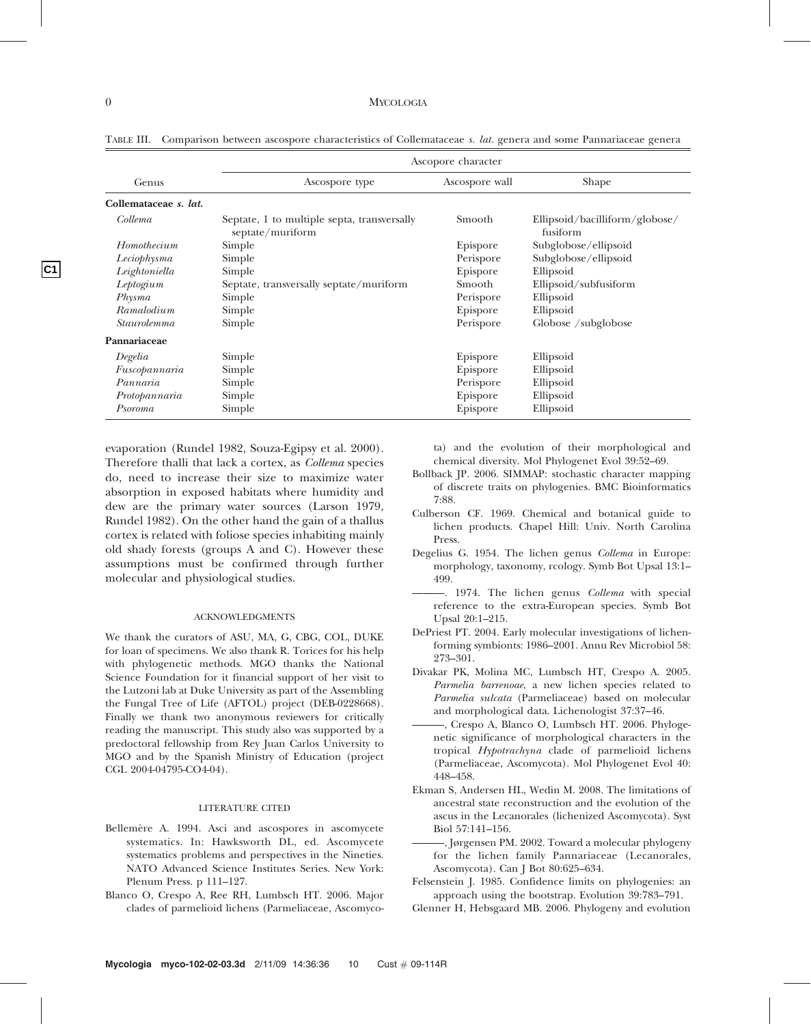## 0 MYCOLOGIA

Genus Ascopore character Ascospore type Ascospore wall Shape Collemataceae s. lat. Collema Septate, 1 to multiple septa, transversally septate/muriform Smooth Ellipsoid/bacilliform/globose/ fusiform Homothecium Simple Epispore Subglobose/ellipsoid Eeriophysma Simple Simple Perispore Subglobose/ellipsoid<br>
Reghtoniella Simple Bispore Ellipsoid Perispore Ellipsoid  $Leighbouriella$ Leptogium Septate, transversally septate/muriform Smooth Ellipsoid/subfusiform Physma Simple Perispore Ellipsoid Ramalodium Simple Epispore Ellipsoid Staurolemma Simple Simple Perispore Globose /subglobose Pannariaceae Degelia Simple Epispore Ellipsoid Fuscopannaria Simple Epispore Ellipsoid Pannaria Simple Perispore Ellipsoid Protopannaria Simple Epispore Ellipsoid<br>Psoroma Simple Epispore Ellipsoid Psoroma Simple Simple Ellipsoid

TABLE III. Comparison between ascospore characteristics of Collemataceae s. lat. genera and some Pannariaceae genera

evaporation (Rundel 1982, Souza-Egipsy et al. 2000). Therefore thalli that lack a cortex, as Collema species do, need to increase their size to maximize water absorption in exposed habitats where humidity and dew are the primary water sources (Larson 1979, Rundel 1982). On the other hand the gain of a thallus cortex is related with foliose species inhabiting mainly old shady forests (groups A and C). However these assumptions must be confirmed through further molecular and physiological studies.

### ACKNOWLEDGMENTS

We thank the curators of ASU, MA, G, CBG, COL, DUKE for loan of specimens. We also thank R. Torices for his help with phylogenetic methods. MGO thanks the National Science Foundation for it financial support of her visit to the Lutzoni lab at Duke University as part of the Assembling the Fungal Tree of Life (AFTOL) project (DEB-0228668). Finally we thank two anonymous reviewers for critically reading the manuscript. This study also was supported by a predoctoral fellowship from Rey Juan Carlos University to MGO and by the Spanish Ministry of Education (project CGL 2004-04795-CO4-04).

# LITERATURE CITED

- Bellemère A. 1994. Asci and ascospores in ascomycete systematics. In: Hawksworth DL, ed. Ascomycete systematics problems and perspectives in the Nineties. NATO Advanced Science Institutes Series. New York: Plenum Press. p 111–127.
- Blanco O, Crespo A, Ree RH, Lumbsch HT. 2006. Major clades of parmelioid lichens (Parmeliaceae, Ascomyco-

ta) and the evolution of their morphological and chemical diversity. Mol Phylogenet Evol 39:52–69.

- Bollback JP. 2006. SIMMAP: stochastic character mapping of discrete traits on phylogenies. BMC Bioinformatics 7:88.
- Culberson CF. 1969. Chemical and botanical guide to lichen products. Chapel Hill: Univ. North Carolina Press.
- Degelius G. 1954. The lichen genus Collema in Europe: morphology, taxonomy, rcology. Symb Bot Upsal 13:1– 499.
- -. 1974. The lichen genus Collema with special reference to the extra-European species. Symb Bot Upsal 20:1–215.
- DePriest PT. 2004. Early molecular investigations of lichenforming symbionts: 1986–2001. Annu Rev Microbiol 58: 273–301.
- Divakar PK, Molina MC, Lumbsch HT, Crespo A. 2005. Parmelia barrenoae, a new lichen species related to Parmelia sulcata (Parmeliaceae) based on molecular and morphological data. Lichenologist 37:37–46.
- -, Crespo A, Blanco O, Lumbsch HT. 2006. Phylogenetic significance of morphological characters in the tropical Hypotrachyna clade of parmelioid lichens (Parmeliaceae, Ascomycota). Mol Phylogenet Evol 40: 448–458.
- Ekman S, Andersen HL, Wedin M. 2008. The limitations of ancestral state reconstruction and the evolution of the ascus in the Lecanorales (lichenized Ascomycota). Syst Biol 57:141–156.
- -, Jørgensen PM. 2002. Toward a molecular phylogeny for the lichen family Pannariaceae (Lecanorales, Ascomycota). Can J Bot 80:625–634.
- Felsenstein J. 1985. Confidence limits on phylogenies: an approach using the bootstrap. Evolution 39:783–791.
- Glenner H, Hebsgaard MB. 2006. Phylogeny and evolution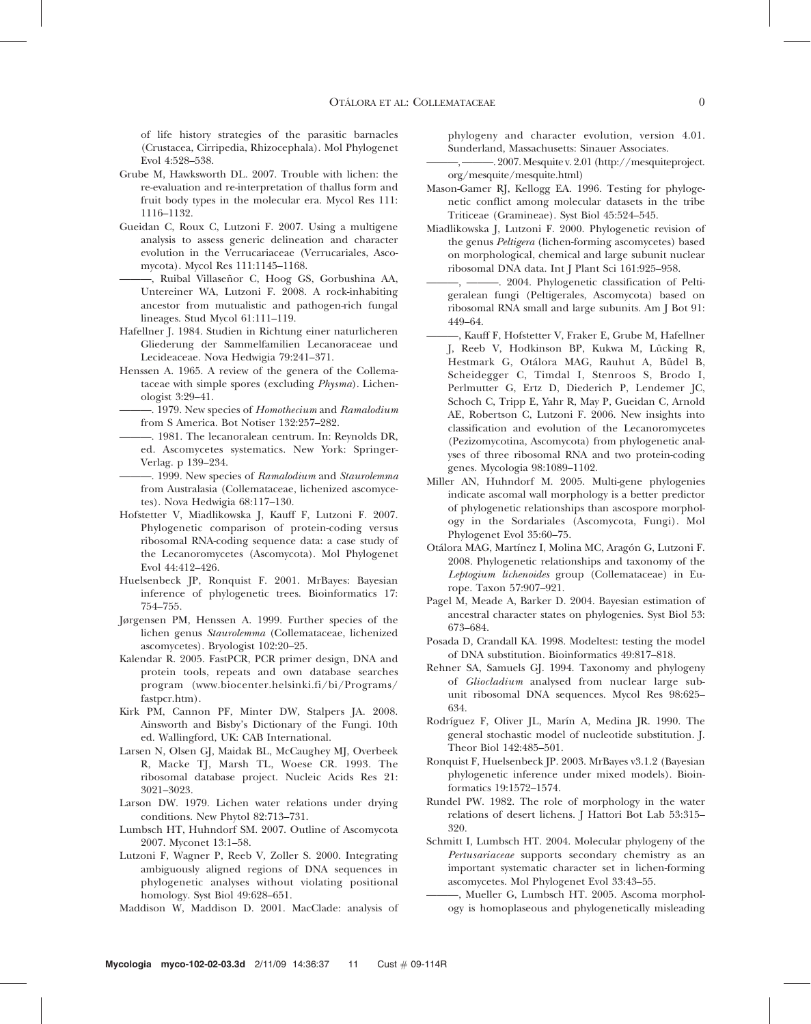of life history strategies of the parasitic barnacles (Crustacea, Cirripedia, Rhizocephala). Mol Phylogenet Evol 4:528–538.

- Grube M, Hawksworth DL. 2007. Trouble with lichen: the re-evaluation and re-interpretation of thallus form and fruit body types in the molecular era. Mycol Res 111: 1116–1132.
- Gueidan C, Roux C, Lutzoni F. 2007. Using a multigene analysis to assess generic delineation and character evolution in the Verrucariaceae (Verrucariales, Ascomycota). Mycol Res 111:1145–1168.
- ———, Ruibal Villasen˜or C, Hoog GS, Gorbushina AA, Untereiner WA, Lutzoni F. 2008. A rock-inhabiting ancestor from mutualistic and pathogen-rich fungal lineages. Stud Mycol 61:111–119.
- Hafellner J. 1984. Studien in Richtung einer naturlicheren Gliederung der Sammelfamilien Lecanoraceae und Lecideaceae. Nova Hedwigia 79:241–371.
- Henssen A. 1965. A review of the genera of the Collemataceae with simple spores (excluding Physma). Lichenologist 3:29–41.
- -. 1979. New species of Homothecium and Ramalodium from S America. Bot Notiser 132:257–282.
- ———. 1981. The lecanoralean centrum. In: Reynolds DR, ed. Ascomycetes systematics. New York: Springer-Verlag. p 139–234.
- -. 1999. New species of Ramalodium and Staurolemma from Australasia (Collemataceae, lichenized ascomycetes). Nova Hedwigia 68:117–130.
- Hofstetter V, Miadlikowska J, Kauff F, Lutzoni F. 2007. Phylogenetic comparison of protein-coding versus ribosomal RNA-coding sequence data: a case study of the Lecanoromycetes (Ascomycota). Mol Phylogenet Evol 44:412–426.
- Huelsenbeck JP, Ronquist F. 2001. MrBayes: Bayesian inference of phylogenetic trees. Bioinformatics 17: 754–755.
- Jørgensen PM, Henssen A. 1999. Further species of the lichen genus Staurolemma (Collemataceae, lichenized ascomycetes). Bryologist 102:20–25.
- Kalendar R. 2005. FastPCR, PCR primer design, DNA and protein tools, repeats and own database searches program (www.biocenter.helsinki.fi/bi/Programs/ fastpcr.htm).
- Kirk PM, Cannon PF, Minter DW, Stalpers JA. 2008. Ainsworth and Bisby's Dictionary of the Fungi. 10th ed. Wallingford, UK: CAB International.
- Larsen N, Olsen GJ, Maidak BL, McCaughey MJ, Overbeek R, Macke TJ, Marsh TL, Woese CR. 1993. The ribosomal database project. Nucleic Acids Res 21: 3021–3023.
- Larson DW. 1979. Lichen water relations under drying conditions. New Phytol 82:713–731.
- Lumbsch HT, Huhndorf SM. 2007. Outline of Ascomycota 2007. Myconet 13:1–58.
- Lutzoni F, Wagner P, Reeb V, Zoller S. 2000. Integrating ambiguously aligned regions of DNA sequences in phylogenetic analyses without violating positional homology. Syst Biol 49:628–651.
- Maddison W, Maddison D. 2001. MacClade: analysis of

phylogeny and character evolution, version 4.01. Sunderland, Massachusetts: Sinauer Associates.

- ———, ———. 2007. Mesquite v. 2.01 (http://mesquiteproject. org/mesquite/mesquite.html)
- Mason-Gamer RJ, Kellogg EA. 1996. Testing for phylogenetic conflict among molecular datasets in the tribe Triticeae (Gramineae). Syst Biol 45:524–545.
- Miadlikowska J, Lutzoni F. 2000. Phylogenetic revision of the genus Peltigera (lichen-forming ascomycetes) based on morphological, chemical and large subunit nuclear ribosomal DNA data. Int J Plant Sci 161:925–958.
- ———, ———. 2004. Phylogenetic classification of Peltigeralean fungi (Peltigerales, Ascomycota) based on ribosomal RNA small and large subunits. Am J Bot 91: 449–64.
- ———, Kauff F, Hofstetter V, Fraker E, Grube M, Hafellner J, Reeb V, Hodkinson BP, Kukwa M, Lücking R, Hestmark G, Otálora MAG, Rauhut A, Büdel B, Scheidegger C, Timdal I, Stenroos S, Brodo I, Perlmutter G, Ertz D, Diederich P, Lendemer JC, Schoch C, Tripp E, Yahr R, May P, Gueidan C, Arnold AE, Robertson C, Lutzoni F. 2006. New insights into classification and evolution of the Lecanoromycetes (Pezizomycotina, Ascomycota) from phylogenetic analyses of three ribosomal RNA and two protein-coding genes. Mycologia 98:1089–1102.
- Miller AN, Huhndorf M. 2005. Multi-gene phylogenies indicate ascomal wall morphology is a better predictor of phylogenetic relationships than ascospore morphology in the Sordariales (Ascomycota, Fungi). Mol Phylogenet Evol 35:60–75.
- Otálora MAG, Martínez I, Molina MC, Aragón G, Lutzoni F. 2008. Phylogenetic relationships and taxonomy of the Leptogium lichenoides group (Collemataceae) in Europe. Taxon 57:907–921.
- Pagel M, Meade A, Barker D. 2004. Bayesian estimation of ancestral character states on phylogenies. Syst Biol 53: 673–684.
- Posada D, Crandall KA. 1998. Modeltest: testing the model of DNA substitution. Bioinformatics 49:817–818.
- Rehner SA, Samuels GJ. 1994. Taxonomy and phylogeny of Gliocladium analysed from nuclear large subunit ribosomal DNA sequences. Mycol Res 98:625– 634.
- Rodríguez F, Oliver JL, Marín A, Medina JR. 1990. The general stochastic model of nucleotide substitution. J. Theor Biol 142:485–501.
- Ronquist F, Huelsenbeck JP. 2003. MrBayes v3.1.2 (Bayesian phylogenetic inference under mixed models). Bioinformatics 19:1572–1574.
- Rundel PW. 1982. The role of morphology in the water relations of desert lichens. J Hattori Bot Lab 53:315– 320.
- Schmitt I, Lumbsch HT. 2004. Molecular phylogeny of the Pertusariaceae supports secondary chemistry as an important systematic character set in lichen-forming ascomycetes. Mol Phylogenet Evol 33:43–55.
	- ———, Mueller G, Lumbsch HT. 2005. Ascoma morphology is homoplaseous and phylogenetically misleading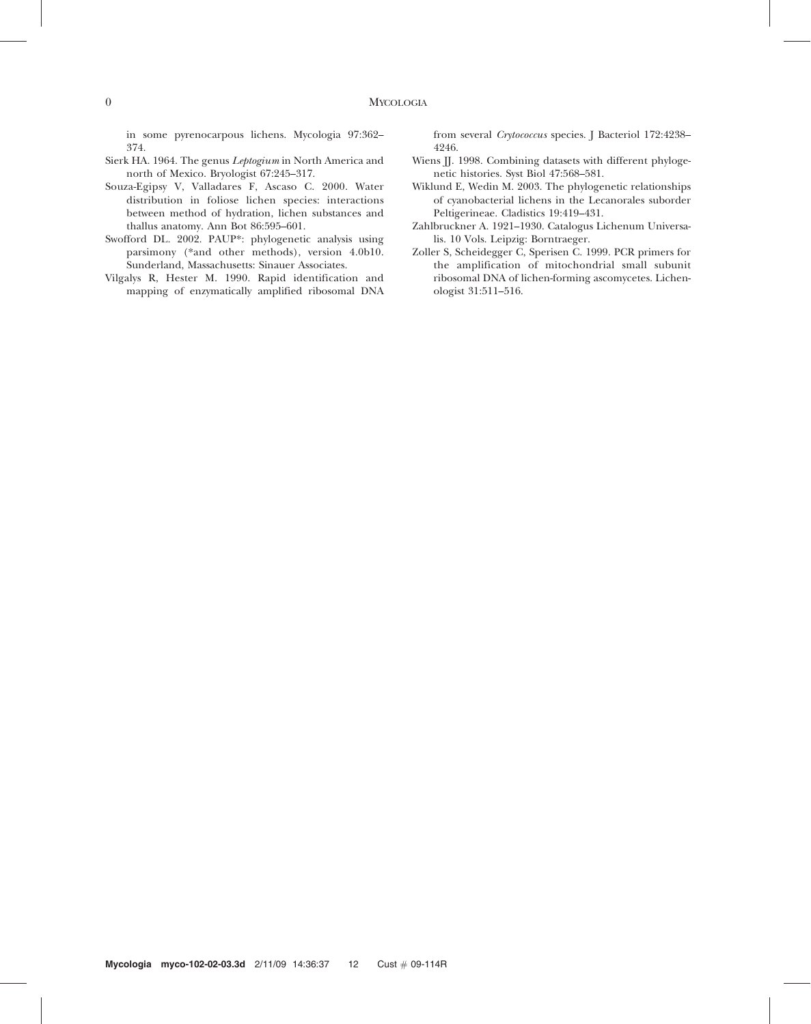in some pyrenocarpous lichens. Mycologia 97:362– 374.

- Sierk HA. 1964. The genus Leptogium in North America and north of Mexico. Bryologist 67:245–317.
- Souza-Egipsy V, Valladares F, Ascaso C. 2000. Water distribution in foliose lichen species: interactions between method of hydration, lichen substances and thallus anatomy. Ann Bot 86:595–601.
- Swofford DL. 2002. PAUP\*: phylogenetic analysis using parsimony (\*and other methods), version 4.0b10. Sunderland, Massachusetts: Sinauer Associates.
- Vilgalys R, Hester M. 1990. Rapid identification and mapping of enzymatically amplified ribosomal DNA

from several Crytococcus species. J Bacteriol 172:4238– 4246.

- Wiens JJ. 1998. Combining datasets with different phylogenetic histories. Syst Biol 47:568–581.
- Wiklund E, Wedin M. 2003. The phylogenetic relationships of cyanobacterial lichens in the Lecanorales suborder Peltigerineae. Cladistics 19:419–431.
- Zahlbruckner A. 1921–1930. Catalogus Lichenum Universalis. 10 Vols. Leipzig: Borntraeger.
- Zoller S, Scheidegger C, Sperisen C. 1999. PCR primers for the amplification of mitochondrial small subunit ribosomal DNA of lichen-forming ascomycetes. Lichenologist 31:511–516.